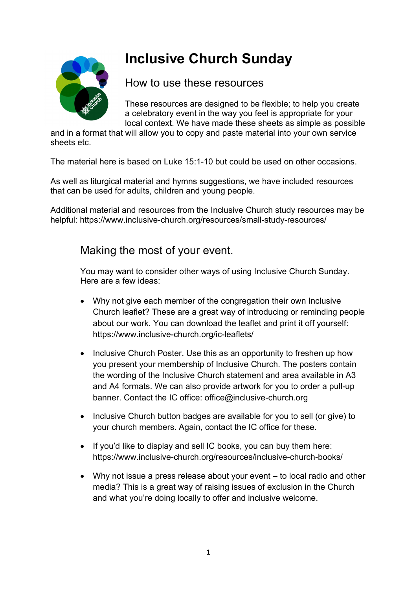

# Inclusive Church Sunday

## How to use these resources

These resources are designed to be flexible; to help you create a celebratory event in the way you feel is appropriate for your local context. We have made these sheets as simple as possible

and in a format that will allow you to copy and paste material into your own service sheets etc.

The material here is based on Luke 15:1-10 but could be used on other occasions.

As well as liturgical material and hymns suggestions, we have included resources that can be used for adults, children and young people.

Additional material and resources from the Inclusive Church study resources may be helpful: https://www.inclusive-church.org/resources/small-study-resources/

## Making the most of your event.

You may want to consider other ways of using Inclusive Church Sunday. Here are a few ideas:

- Why not give each member of the congregation their own Inclusive Church leaflet? These are a great way of introducing or reminding people about our work. You can download the leaflet and print it off yourself: https://www.inclusive-church.org/ic-leaflets/
- Inclusive Church Poster. Use this as an opportunity to freshen up how you present your membership of Inclusive Church. The posters contain the wording of the Inclusive Church statement and area available in A3 and A4 formats. We can also provide artwork for you to order a pull-up banner. Contact the IC office: office@inclusive-church.org
- Inclusive Church button badges are available for you to sell (or give) to your church members. Again, contact the IC office for these.
- If you'd like to display and sell IC books, you can buy them here: https://www.inclusive-church.org/resources/inclusive-church-books/
- Why not issue a press release about your event to local radio and other media? This is a great way of raising issues of exclusion in the Church and what you're doing locally to offer and inclusive welcome.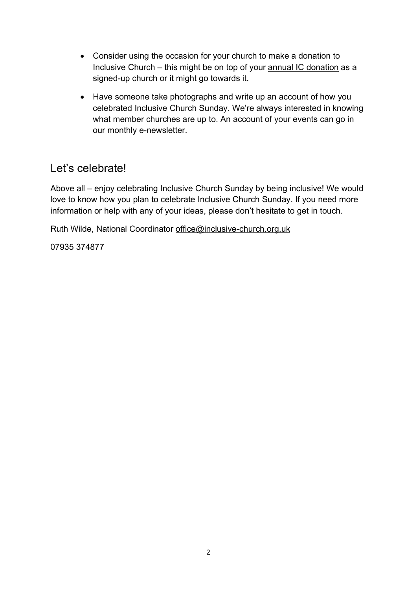- Consider using the occasion for your church to make a donation to Inclusive Church – this might be on top of your annual IC donation as a signed-up church or it might go towards it.
- Have someone take photographs and write up an account of how you celebrated Inclusive Church Sunday. We're always interested in knowing what member churches are up to. An account of your events can go in our monthly e-newsletter.

## Let's celebrate!

Above all – enjoy celebrating Inclusive Church Sunday by being inclusive! We would love to know how you plan to celebrate Inclusive Church Sunday. If you need more information or help with any of your ideas, please don't hesitate to get in touch.

Ruth Wilde, National Coordinator office@inclusive-church.org.uk

07935 374877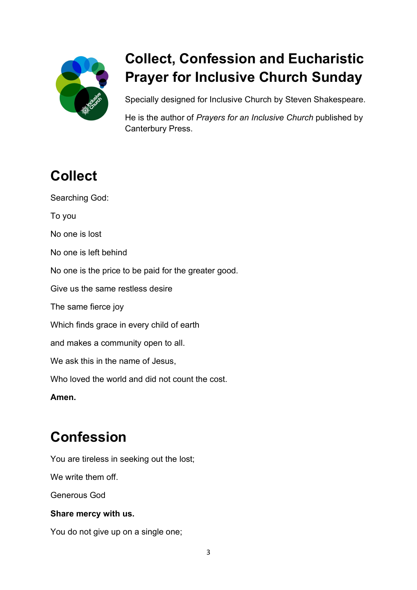

# Collect, Confession and Eucharistic Prayer for Inclusive Church Sunday

Specially designed for Inclusive Church by Steven Shakespeare.

He is the author of Prayers for an Inclusive Church published by Canterbury Press.

# Collect

Searching God: To you No one is lost No one is left behind No one is the price to be paid for the greater good. Give us the same restless desire The same fierce joy Which finds grace in every child of earth and makes a community open to all. We ask this in the name of Jesus. Who loved the world and did not count the cost.

Amen.

# Confession

You are tireless in seeking out the lost;

We write them off.

Generous God

### Share mercy with us.

You do not give up on a single one;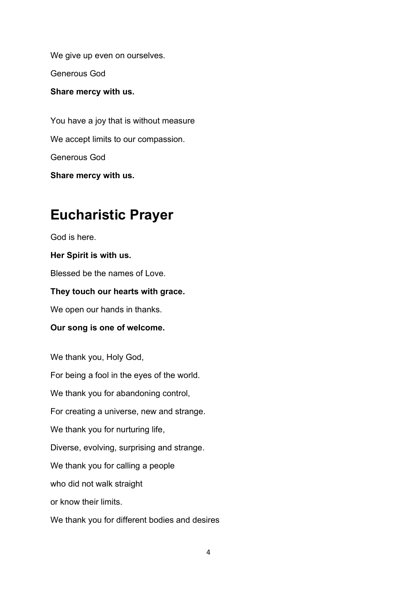We give up even on ourselves. Generous God Share mercy with us.

You have a joy that is without measure We accept limits to our compassion. Generous God Share mercy with us.

# Eucharistic Prayer

God is here.

Her Spirit is with us.

Blessed be the names of Love.

### They touch our hearts with grace.

We open our hands in thanks.

### Our song is one of welcome.

We thank you, Holy God, For being a fool in the eyes of the world. We thank you for abandoning control, For creating a universe, new and strange. We thank you for nurturing life, Diverse, evolving, surprising and strange. We thank you for calling a people who did not walk straight or know their limits. We thank you for different bodies and desires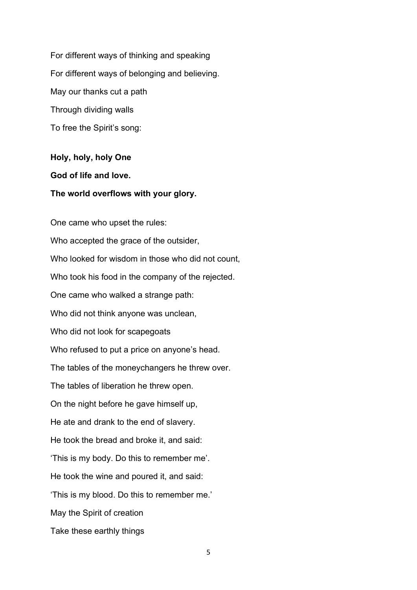For different ways of thinking and speaking For different ways of belonging and believing. May our thanks cut a path Through dividing walls To free the Spirit's song:

Holy, holy, holy One God of life and love. The world overflows with your glory.

One came who upset the rules: Who accepted the grace of the outsider, Who looked for wisdom in those who did not count. Who took his food in the company of the rejected. One came who walked a strange path: Who did not think anyone was unclean, Who did not look for scapegoats Who refused to put a price on anyone's head. The tables of the moneychangers he threw over. The tables of liberation he threw open. On the night before he gave himself up, He ate and drank to the end of slavery. He took the bread and broke it, and said: 'This is my body. Do this to remember me'. He took the wine and poured it, and said: 'This is my blood. Do this to remember me.' May the Spirit of creation Take these earthly things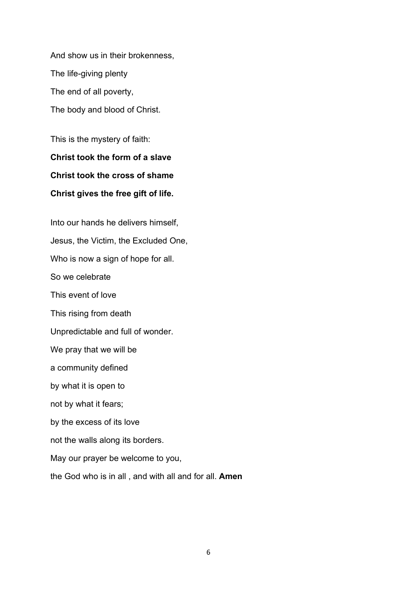And show us in their brokenness, The life-giving plenty The end of all poverty, The body and blood of Christ.

This is the mystery of faith: Christ took the form of a slave Christ took the cross of shame Christ gives the free gift of life.

Into our hands he delivers himself, Jesus, the Victim, the Excluded One, Who is now a sign of hope for all. So we celebrate This event of love This rising from death Unpredictable and full of wonder. We pray that we will be a community defined by what it is open to not by what it fears; by the excess of its love not the walls along its borders. May our prayer be welcome to you, the God who is in all, and with all and for all. Amen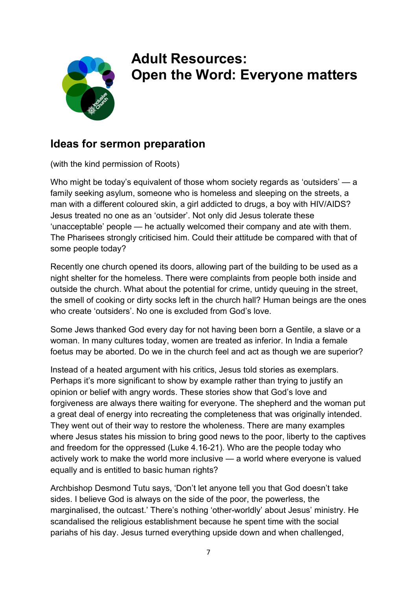

## Adult Resources: Open the Word: Everyone matters

## Ideas for sermon preparation

(with the kind permission of Roots)

Who might be today's equivalent of those whom society regards as 'outsiders' — a family seeking asylum, someone who is homeless and sleeping on the streets, a man with a different coloured skin, a girl addicted to drugs, a boy with HIV/AIDS? Jesus treated no one as an 'outsider'. Not only did Jesus tolerate these 'unacceptable' people — he actually welcomed their company and ate with them. The Pharisees strongly criticised him. Could their attitude be compared with that of some people today?

Recently one church opened its doors, allowing part of the building to be used as a night shelter for the homeless. There were complaints from people both inside and outside the church. What about the potential for crime, untidy queuing in the street, the smell of cooking or dirty socks left in the church hall? Human beings are the ones who create 'outsiders'. No one is excluded from God's love.

Some Jews thanked God every day for not having been born a Gentile, a slave or a woman. In many cultures today, women are treated as inferior. In India a female foetus may be aborted. Do we in the church feel and act as though we are superior?

Instead of a heated argument with his critics, Jesus told stories as exemplars. Perhaps it's more significant to show by example rather than trying to justify an opinion or belief with angry words. These stories show that God's love and forgiveness are always there waiting for everyone. The shepherd and the woman put a great deal of energy into recreating the completeness that was originally intended. They went out of their way to restore the wholeness. There are many examples where Jesus states his mission to bring good news to the poor, liberty to the captives and freedom for the oppressed (Luke 4.16-21). Who are the people today who actively work to make the world more inclusive — a world where everyone is valued equally and is entitled to basic human rights?

Archbishop Desmond Tutu says, 'Don't let anyone tell you that God doesn't take sides. I believe God is always on the side of the poor, the powerless, the marginalised, the outcast.' There's nothing 'other-worldly' about Jesus' ministry. He scandalised the religious establishment because he spent time with the social pariahs of his day. Jesus turned everything upside down and when challenged,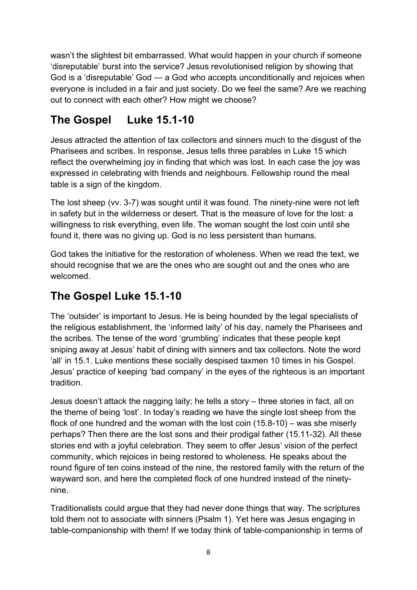wasn't the slightest bit embarrassed. What would happen in your church if someone 'disreputable' burst into the service? Jesus revolutionised religion by showing that God is a 'disreputable' God — a God who accepts unconditionally and rejoices when everyone is included in a fair and just society. Do we feel the same? Are we reaching out to connect with each other? How might we choose?

## The Gospel Luke 15.1-10

Jesus attracted the attention of tax collectors and sinners much to the disgust of the Pharisees and scribes. In response, Jesus tells three parables in Luke 15 which reflect the overwhelming joy in finding that which was lost. In each case the joy was expressed in celebrating with friends and neighbours. Fellowship round the meal table is a sign of the kingdom.

The lost sheep (vv. 3-7) was sought until it was found. The ninety-nine were not left in safety but in the wilderness or desert. That is the measure of love for the lost: a willingness to risk everything, even life. The woman sought the lost coin until she found it, there was no giving up. God is no less persistent than humans.

God takes the initiative for the restoration of wholeness. When we read the text, we should recognise that we are the ones who are sought out and the ones who are welcomed.

## The Gospel Luke 15.1-10

The 'outsider' is important to Jesus. He is being hounded by the legal specialists of the religious establishment, the 'informed laity' of his day, namely the Pharisees and the scribes. The tense of the word 'grumbling' indicates that these people kept sniping away at Jesus' habit of dining with sinners and tax collectors. Note the word 'all' in 15.1. Luke mentions these socially despised taxmen 10 times in his Gospel. Jesus' practice of keeping 'bad company' in the eyes of the righteous is an important tradition.

Jesus doesn't attack the nagging laity; he tells a story – three stories in fact, all on the theme of being 'lost'. In today's reading we have the single lost sheep from the flock of one hundred and the woman with the lost coin (15.8-10) – was she miserly perhaps? Then there are the lost sons and their prodigal father (15.11-32). All these stories end with a joyful celebration. They seem to offer Jesus' vision of the perfect community, which rejoices in being restored to wholeness. He speaks about the round figure of ten coins instead of the nine, the restored family with the return of the wayward son, and here the completed flock of one hundred instead of the ninetynine.

Traditionalists could argue that they had never done things that way. The scriptures told them not to associate with sinners (Psalm 1). Yet here was Jesus engaging in table-companionship with them! If we today think of table-companionship in terms of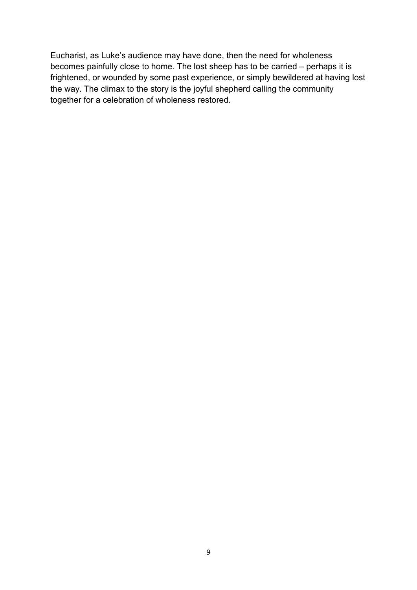Eucharist, as Luke's audience may have done, then the need for wholeness becomes painfully close to home. The lost sheep has to be carried – perhaps it is frightened, or wounded by some past experience, or simply bewildered at having lost the way. The climax to the story is the joyful shepherd calling the community together for a celebration of wholeness restored.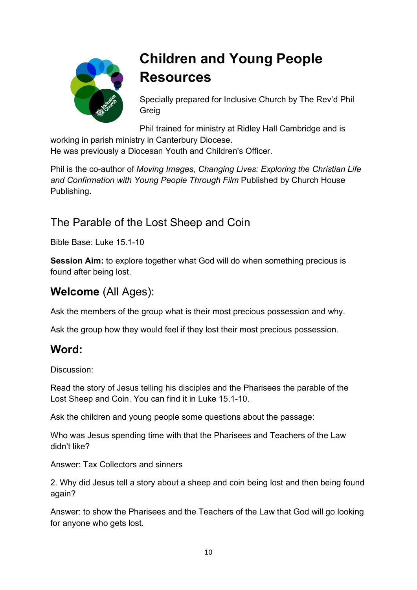

# Children and Young People **Resources**

Specially prepared for Inclusive Church by The Rev'd Phil Greig

Phil trained for ministry at Ridley Hall Cambridge and is working in parish ministry in Canterbury Diocese. He was previously a Diocesan Youth and Children's Officer.

Phil is the co-author of Moving Images, Changing Lives: Exploring the Christian Life and Confirmation with Young People Through Film Published by Church House Publishing.

## The Parable of the Lost Sheep and Coin

Bible Base: Luke 15.1-10

Session Aim: to explore together what God will do when something precious is found after being lost.

## Welcome (All Ages):

Ask the members of the group what is their most precious possession and why.

Ask the group how they would feel if they lost their most precious possession.

## Word:

Discussion:

Read the story of Jesus telling his disciples and the Pharisees the parable of the Lost Sheep and Coin. You can find it in Luke 15.1-10.

Ask the children and young people some questions about the passage:

Who was Jesus spending time with that the Pharisees and Teachers of the Law didn't like?

Answer: Tax Collectors and sinners

2. Why did Jesus tell a story about a sheep and coin being lost and then being found again?

Answer: to show the Pharisees and the Teachers of the Law that God will go looking for anyone who gets lost.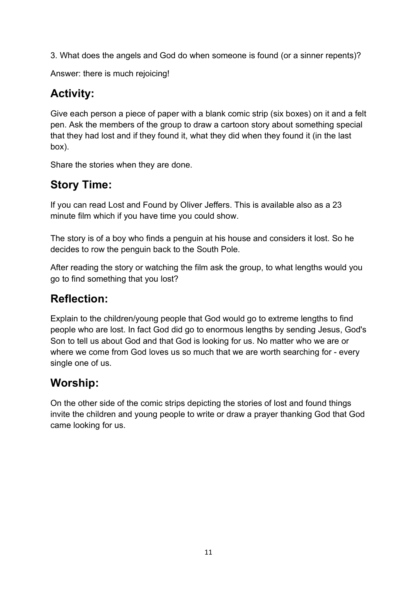3. What does the angels and God do when someone is found (or a sinner repents)?

Answer: there is much rejoicing!

## Activity:

Give each person a piece of paper with a blank comic strip (six boxes) on it and a felt pen. Ask the members of the group to draw a cartoon story about something special that they had lost and if they found it, what they did when they found it (in the last box).

Share the stories when they are done.

## Story Time:

If you can read Lost and Found by Oliver Jeffers. This is available also as a 23 minute film which if you have time you could show.

The story is of a boy who finds a penguin at his house and considers it lost. So he decides to row the penguin back to the South Pole.

After reading the story or watching the film ask the group, to what lengths would you go to find something that you lost?

## Reflection:

Explain to the children/young people that God would go to extreme lengths to find people who are lost. In fact God did go to enormous lengths by sending Jesus, God's Son to tell us about God and that God is looking for us. No matter who we are or where we come from God loves us so much that we are worth searching for - every single one of us.

## Worship:

On the other side of the comic strips depicting the stories of lost and found things invite the children and young people to write or draw a prayer thanking God that God came looking for us.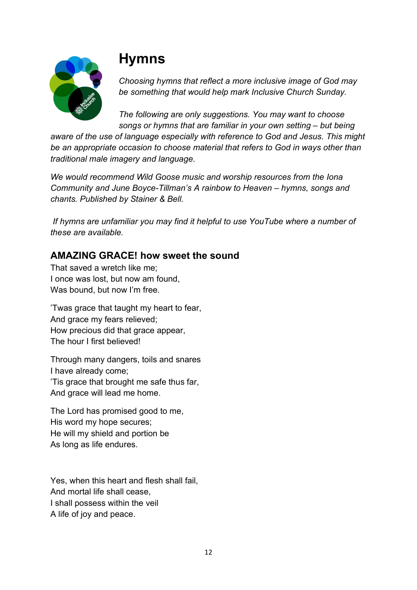

## **Hymns**

Choosing hymns that reflect a more inclusive image of God may be something that would help mark Inclusive Church Sunday.

The following are only suggestions. You may want to choose songs or hymns that are familiar in your own setting – but being

aware of the use of language especially with reference to God and Jesus. This might be an appropriate occasion to choose material that refers to God in ways other than traditional male imagery and language.

We would recommend Wild Goose music and worship resources from the Iona Community and June Boyce-Tillman's A rainbow to Heaven – hymns, songs and chants. Published by Stainer & Bell.

 If hymns are unfamiliar you may find it helpful to use YouTube where a number of these are available.

## AMAZING GRACE! how sweet the sound

That saved a wretch like me; I once was lost, but now am found, Was bound, but now I'm free.

'Twas grace that taught my heart to fear, And grace my fears relieved; How precious did that grace appear, The hour I first believed!

Through many dangers, toils and snares I have already come; 'Tis grace that brought me safe thus far, And grace will lead me home.

The Lord has promised good to me, His word my hope secures; He will my shield and portion be As long as life endures.

Yes, when this heart and flesh shall fail, And mortal life shall cease, I shall possess within the veil A life of joy and peace.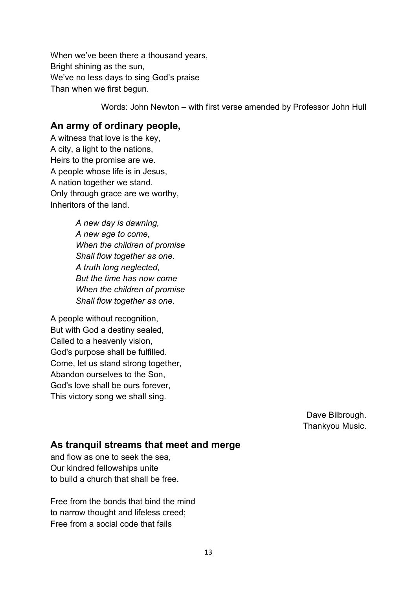When we've been there a thousand years, Bright shining as the sun, We've no less days to sing God's praise Than when we first begun.

Words: John Newton – with first verse amended by Professor John Hull

## An army of ordinary people,

A witness that love is the key, A city, a light to the nations, Heirs to the promise are we. A people whose life is in Jesus, A nation together we stand. Only through grace are we worthy, Inheritors of the land.

> A new day is dawning, A new age to come, When the children of promise Shall flow together as one. A truth long neglected, But the time has now come When the children of promise Shall flow together as one.

A people without recognition, But with God a destiny sealed, Called to a heavenly vision, God's purpose shall be fulfilled. Come, let us stand strong together, Abandon ourselves to the Son, God's love shall be ours forever, This victory song we shall sing.

> Dave Bilbrough. Thankyou Music.

## As tranquil streams that meet and merge

and flow as one to seek the sea, Our kindred fellowships unite to build a church that shall be free.

Free from the bonds that bind the mind to narrow thought and lifeless creed; Free from a social code that fails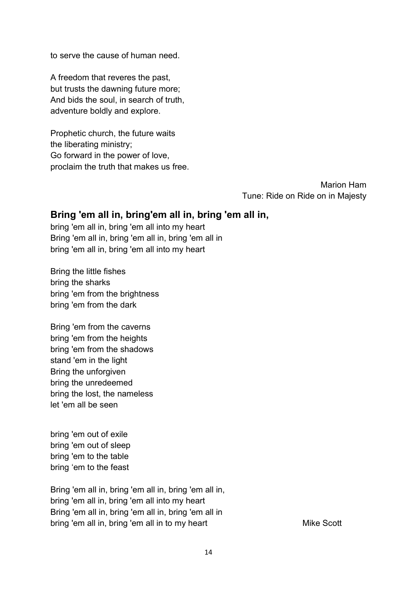to serve the cause of human need.

A freedom that reveres the past, but trusts the dawning future more; And bids the soul, in search of truth, adventure boldly and explore.

Prophetic church, the future waits the liberating ministry; Go forward in the power of love, proclaim the truth that makes us free.

> Marion Ham Tune: Ride on Ride on in Majesty

### Bring 'em all in, bring'em all in, bring 'em all in,

bring 'em all in, bring 'em all into my heart Bring 'em all in, bring 'em all in, bring 'em all in bring 'em all in, bring 'em all into my heart

Bring the little fishes bring the sharks bring 'em from the brightness bring 'em from the dark

Bring 'em from the caverns bring 'em from the heights bring 'em from the shadows stand 'em in the light Bring the unforgiven bring the unredeemed bring the lost, the nameless let 'em all be seen

bring 'em out of exile bring 'em out of sleep bring 'em to the table bring 'em to the feast

Bring 'em all in, bring 'em all in, bring 'em all in, bring 'em all in, bring 'em all into my heart Bring 'em all in, bring 'em all in, bring 'em all in bring 'em all in, bring 'em all in to my heart Mike Scott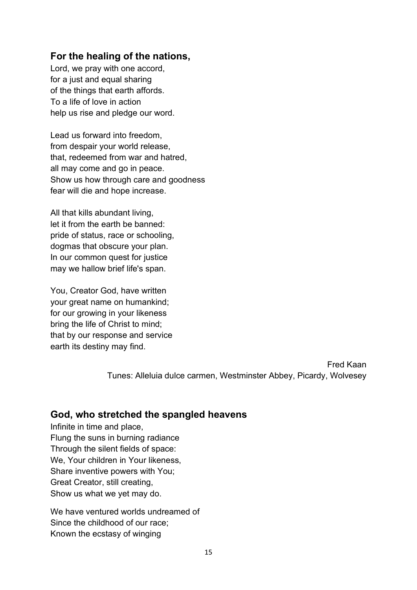### For the healing of the nations,

Lord, we pray with one accord, for a just and equal sharing of the things that earth affords. To a life of love in action help us rise and pledge our word.

Lead us forward into freedom, from despair your world release, that, redeemed from war and hatred, all may come and go in peace. Show us how through care and goodness fear will die and hope increase.

All that kills abundant living, let it from the earth be banned: pride of status, race or schooling, dogmas that obscure your plan. In our common quest for justice may we hallow brief life's span.

You, Creator God, have written your great name on humankind; for our growing in your likeness bring the life of Christ to mind; that by our response and service earth its destiny may find.

> Fred Kaan Tunes: Alleluia dulce carmen, Westminster Abbey, Picardy, Wolvesey

### God, who stretched the spangled heavens

Infinite in time and place, Flung the suns in burning radiance Through the silent fields of space: We, Your children in Your likeness, Share inventive powers with You; Great Creator, still creating, Show us what we yet may do.

We have ventured worlds undreamed of Since the childhood of our race; Known the ecstasy of winging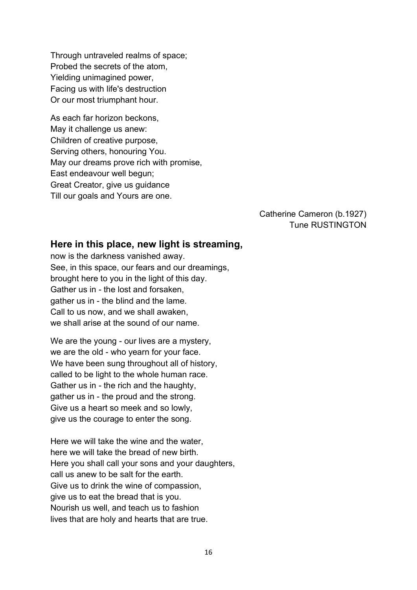Through untraveled realms of space; Probed the secrets of the atom, Yielding unimagined power, Facing us with life's destruction Or our most triumphant hour.

As each far horizon beckons, May it challenge us anew: Children of creative purpose, Serving others, honouring You. May our dreams prove rich with promise, East endeavour well begun; Great Creator, give us guidance Till our goals and Yours are one.

> Catherine Cameron (b.1927) Tune RUSTINGTON

#### Here in this place, new light is streaming,

now is the darkness vanished away. See, in this space, our fears and our dreamings, brought here to you in the light of this day. Gather us in - the lost and forsaken, gather us in - the blind and the lame. Call to us now, and we shall awaken, we shall arise at the sound of our name.

We are the young - our lives are a mystery, we are the old - who yearn for your face. We have been sung throughout all of history, called to be light to the whole human race. Gather us in - the rich and the haughty, gather us in - the proud and the strong. Give us a heart so meek and so lowly, give us the courage to enter the song.

Here we will take the wine and the water, here we will take the bread of new birth. Here you shall call your sons and your daughters, call us anew to be salt for the earth. Give us to drink the wine of compassion, give us to eat the bread that is you. Nourish us well, and teach us to fashion lives that are holy and hearts that are true.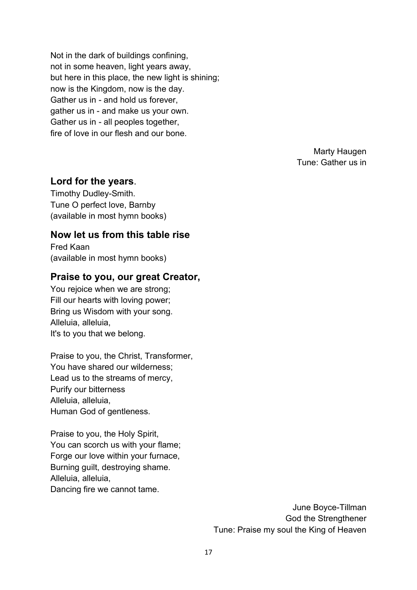Not in the dark of buildings confining, not in some heaven, light years away, but here in this place, the new light is shining; now is the Kingdom, now is the day. Gather us in - and hold us forever, gather us in - and make us your own. Gather us in - all peoples together, fire of love in our flesh and our bone.

> Marty Haugen Tune: Gather us in

### Lord for the years.

Timothy Dudley-Smith. Tune O perfect love, Barnby (available in most hymn books)

### Now let us from this table rise

Fred Kaan (available in most hymn books)

### Praise to you, our great Creator,

You rejoice when we are strong; Fill our hearts with loving power; Bring us Wisdom with your song. Alleluia, alleluia, It's to you that we belong.

Praise to you, the Christ, Transformer, You have shared our wilderness; Lead us to the streams of mercy, Purify our bitterness Alleluia, alleluia, Human God of gentleness.

Praise to you, the Holy Spirit, You can scorch us with your flame; Forge our love within your furnace, Burning guilt, destroying shame. Alleluia, alleluia, Dancing fire we cannot tame.

> June Boyce-Tillman God the Strengthener Tune: Praise my soul the King of Heaven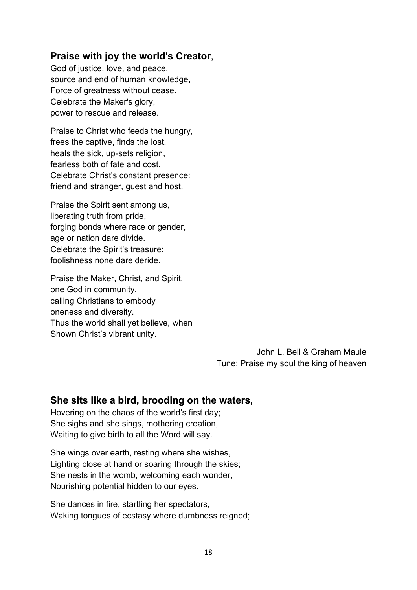### Praise with joy the world's Creator,

God of justice, love, and peace, source and end of human knowledge, Force of greatness without cease. Celebrate the Maker's glory, power to rescue and release.

Praise to Christ who feeds the hungry, frees the captive, finds the lost, heals the sick, up-sets religion, fearless both of fate and cost. Celebrate Christ's constant presence: friend and stranger, guest and host.

Praise the Spirit sent among us, liberating truth from pride, forging bonds where race or gender, age or nation dare divide. Celebrate the Spirit's treasure: foolishness none dare deride.

Praise the Maker, Christ, and Spirit, one God in community, calling Christians to embody oneness and diversity. Thus the world shall yet believe, when Shown Christ's vibrant unity.

> John L. Bell & Graham Maule Tune: Praise my soul the king of heaven

### She sits like a bird, brooding on the waters,

Hovering on the chaos of the world's first day; She sighs and she sings, mothering creation, Waiting to give birth to all the Word will say.

She wings over earth, resting where she wishes, Lighting close at hand or soaring through the skies; She nests in the womb, welcoming each wonder, Nourishing potential hidden to our eyes.

She dances in fire, startling her spectators, Waking tongues of ecstasy where dumbness reigned;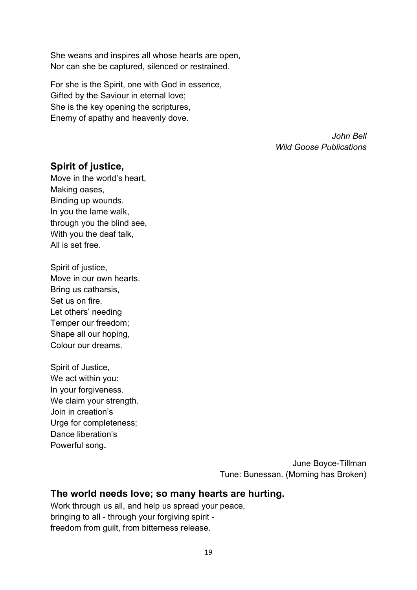She weans and inspires all whose hearts are open, Nor can she be captured, silenced or restrained.

For she is the Spirit, one with God in essence, Gifted by the Saviour in eternal love; She is the key opening the scriptures, Enemy of apathy and heavenly dove.

> John Bell Wild Goose Publications

## Spirit of justice,

Move in the world's heart, Making oases, Binding up wounds. In you the lame walk, through you the blind see, With you the deaf talk, All is set free.

Spirit of justice, Move in our own hearts. Bring us catharsis, Set us on fire. Let others' needing Temper our freedom; Shape all our hoping, Colour our dreams.

Spirit of Justice, We act within you: In your forgiveness. We claim your strength. Join in creation's Urge for completeness; Dance liberation's Powerful song.

> June Boyce-Tillman Tune: Bunessan. (Morning has Broken)

## The world needs love; so many hearts are hurting.

Work through us all, and help us spread your peace, bringing to all - through your forgiving spirit freedom from guilt, from bitterness release.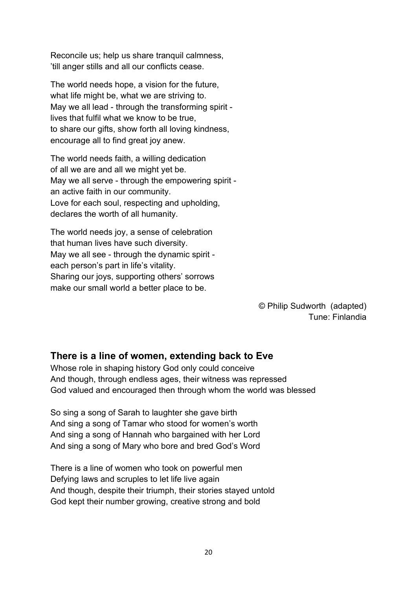Reconcile us; help us share tranquil calmness, 'till anger stills and all our conflicts cease.

The world needs hope, a vision for the future, what life might be, what we are striving to. May we all lead - through the transforming spirit lives that fulfil what we know to be true, to share our gifts, show forth all loving kindness, encourage all to find great joy anew.

The world needs faith, a willing dedication of all we are and all we might yet be. May we all serve - through the empowering spirit an active faith in our community. Love for each soul, respecting and upholding, declares the worth of all humanity.

The world needs joy, a sense of celebration that human lives have such diversity. May we all see - through the dynamic spirit each person's part in life's vitality. Sharing our joys, supporting others' sorrows make our small world a better place to be.

> © Philip Sudworth (adapted) Tune: Finlandia

## There is a line of women, extending back to Eve

Whose role in shaping history God only could conceive And though, through endless ages, their witness was repressed God valued and encouraged then through whom the world was blessed

So sing a song of Sarah to laughter she gave birth And sing a song of Tamar who stood for women's worth And sing a song of Hannah who bargained with her Lord And sing a song of Mary who bore and bred God's Word

There is a line of women who took on powerful men Defying laws and scruples to let life live again And though, despite their triumph, their stories stayed untold God kept their number growing, creative strong and bold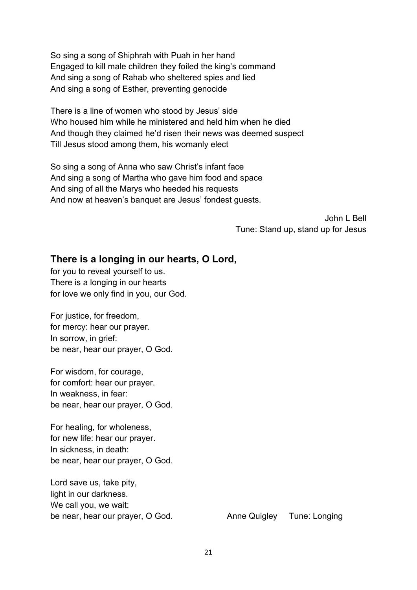So sing a song of Shiphrah with Puah in her hand Engaged to kill male children they foiled the king's command And sing a song of Rahab who sheltered spies and lied And sing a song of Esther, preventing genocide

There is a line of women who stood by Jesus' side Who housed him while he ministered and held him when he died And though they claimed he'd risen their news was deemed suspect Till Jesus stood among them, his womanly elect

So sing a song of Anna who saw Christ's infant face And sing a song of Martha who gave him food and space And sing of all the Marys who heeded his requests And now at heaven's banquet are Jesus' fondest guests.

> John L Bell Tune: Stand up, stand up for Jesus

## There is a longing in our hearts, O Lord,

for you to reveal yourself to us. There is a longing in our hearts for love we only find in you, our God.

For justice, for freedom, for mercy: hear our prayer. In sorrow, in grief: be near, hear our prayer, O God.

For wisdom, for courage, for comfort: hear our prayer. In weakness, in fear: be near, hear our prayer, O God.

For healing, for wholeness, for new life: hear our prayer. In sickness, in death: be near, hear our prayer, O God.

Lord save us, take pity, light in our darkness. We call you, we wait: be near, hear our prayer, O God. Anne Quigley Tune: Longing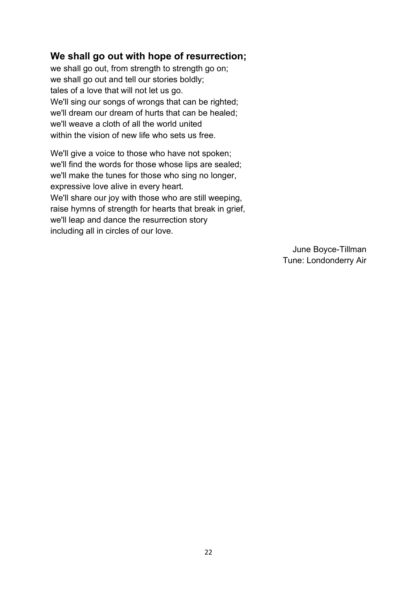### We shall go out with hope of resurrection;

we shall go out, from strength to strength go on; we shall go out and tell our stories boldly; tales of a love that will not let us go. We'll sing our songs of wrongs that can be righted; we'll dream our dream of hurts that can be healed; we'll weave a cloth of all the world united within the vision of new life who sets us free.

We'll give a voice to those who have not spoken; we'll find the words for those whose lips are sealed; we'll make the tunes for those who sing no longer, expressive love alive in every heart. We'll share our joy with those who are still weeping, raise hymns of strength for hearts that break in grief, we'll leap and dance the resurrection story including all in circles of our love.

> June Boyce-Tillman Tune: Londonderry Air